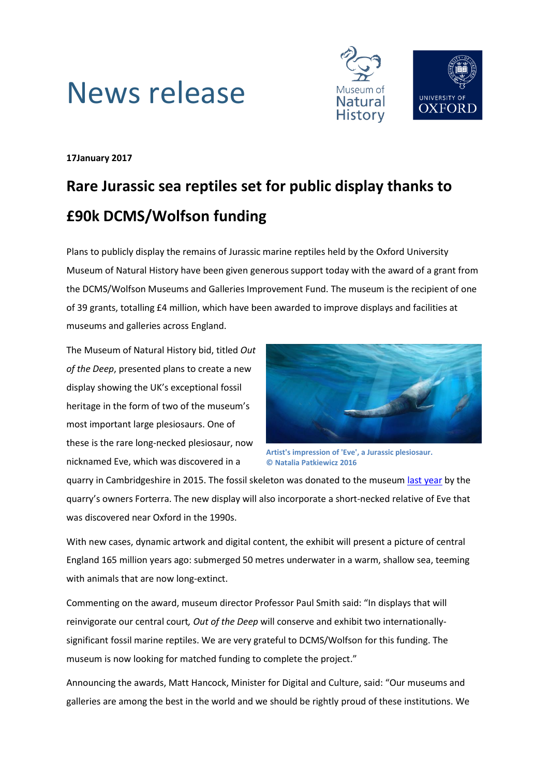



# **17January 2017**

# **Rare Jurassic sea reptiles set for public display thanks to £90k DCMS/Wolfson funding**

Plans to publicly display the remains of Jurassic marine reptiles held by the Oxford University Museum of Natural History have been given generous support today with the award of a grant from the DCMS/Wolfson Museums and Galleries Improvement Fund. The museum is the recipient of one of 39 grants, totalling £4 million, which have been awarded to improve displays and facilities at museums and galleries across England.

The Museum of Natural History bid, titled *Out of the Deep*, presented plans to create a new display showing the UK's exceptional fossil heritage in the form of two of the museum's most important large plesiosaurs. One of these is the rare long-necked plesiosaur, now nicknamed Eve, which was discovered in a



**Artist's impression of 'Eve', a Jurassic plesiosaur. © Natalia Patkiewicz 2016**

quarry in Cambridgeshire in 2015. The fossil skeleton was donated to the museu[m last year](http://www.bbc.co.uk/news/science-environment-36384054) by the quarry's owners Forterra. The new display will also incorporate a short-necked relative of Eve that was discovered near Oxford in the 1990s.

With new cases, dynamic artwork and digital content, the exhibit will present a picture of central England 165 million years ago: submerged 50 metres underwater in a warm, shallow sea, teeming with animals that are now long-extinct.

Commenting on the award, museum director Professor Paul Smith said: "In displays that will reinvigorate our central court*, Out of the Deep* will conserve and exhibit two internationallysignificant fossil marine reptiles. We are very grateful to DCMS/Wolfson for this funding. The museum is now looking for matched funding to complete the project."

Announcing the awards, Matt Hancock, Minister for Digital and Culture, said: "Our museums and galleries are among the best in the world and we should be rightly proud of these institutions. We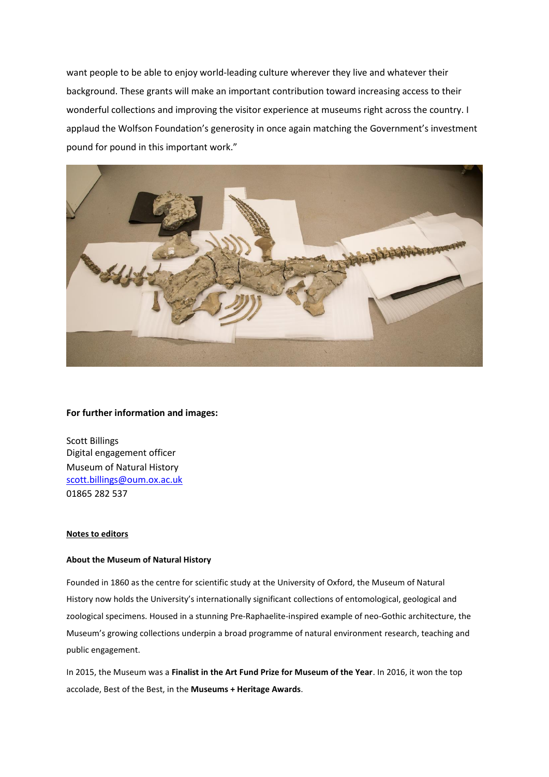want people to be able to enjoy world-leading culture wherever they live and whatever their background. These grants will make an important contribution toward increasing access to their wonderful collections and improving the visitor experience at museums right across the country. I applaud the Wolfson Foundation's generosity in once again matching the Government's investment pound for pound in this important work."



#### **For further information and images:**

Scott Billings Digital engagement officer Museum of Natural History [scott.billings@oum.ox.ac.uk](mailto:scott.billings@oum.ox.ac.uk) 01865 282 537

## **Notes to editors**

### **About the Museum of Natural History**

Founded in 1860 as the centre for scientific study at the University of Oxford, the Museum of Natural History now holds the University's internationally significant collections of entomological, geological and zoological specimens. Housed in a stunning Pre-Raphaelite-inspired example of neo-Gothic architecture, the Museum's growing collections underpin a broad programme of natural environment research, teaching and public engagement.

In 2015, the Museum was a **Finalist in the Art Fund Prize for Museum of the Year**. In 2016, it won the top accolade, Best of the Best, in the **Museums + Heritage Awards**.